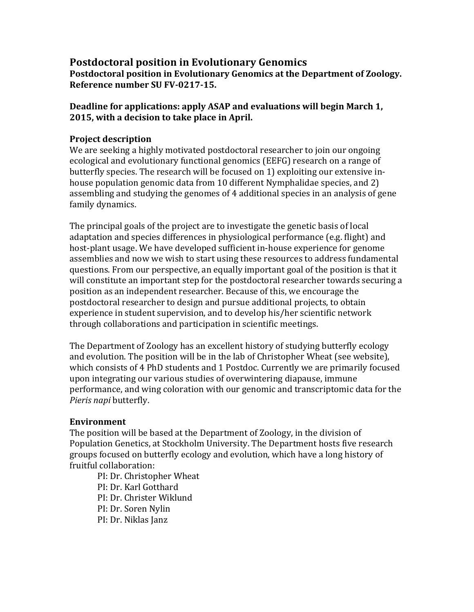## **Postdoctoral position in Evolutionary Genomics Postdoctoral position in Evolutionary Genomics at the Department of Zoology. Reference number SU FV-0217-15.**

**Deadline for applications: apply ASAP and evaluations will begin March 1, 2015, with a decision to take place in April.**

# **Project description**

We are seeking a highly motivated postdoctoral researcher to join our ongoing ecological and evolutionary functional genomics (EEFG) research on a range of butterfly species. The research will be focused on 1) exploiting our extensive inhouse population genomic data from 10 different Nymphalidae species, and 2) assembling and studying the genomes of 4 additional species in an analysis of gene family dynamics.

The principal goals of the project are to investigate the genetic basis of local adaptation and species differences in physiological performance (e.g. flight) and host-plant usage. We have developed sufficient in-house experience for genome assemblies and now we wish to start using these resources to address fundamental questions. From our perspective, an equally important goal of the position is that it will constitute an important step for the postdoctoral researcher towards securing a position as an independent researcher. Because of this, we encourage the postdoctoral researcher to design and pursue additional projects, to obtain experience in student supervision, and to develop his/her scientific network through collaborations and participation in scientific meetings.

The Department of Zoology has an excellent history of studying butterfly ecology and evolution. The position will be in the lab of Christopher Wheat (see website), which consists of 4 PhD students and 1 Postdoc. Currently we are primarily focused upon integrating our various studies of overwintering diapause, immune performance, and wing coloration with our genomic and transcriptomic data for the *Pieris napi* butterfly.

## **Environment**

The position will be based at the Department of Zoology, in the division of Population Genetics, at Stockholm University. The Department hosts five research groups focused on butterfly ecology and evolution, which have a long history of fruitful collaboration:

PI: Dr. Christopher Wheat PI: Dr. Karl Gotthard PI: Dr. Christer Wiklund PI: Dr. Soren Nylin PI: Dr. Niklas Janz